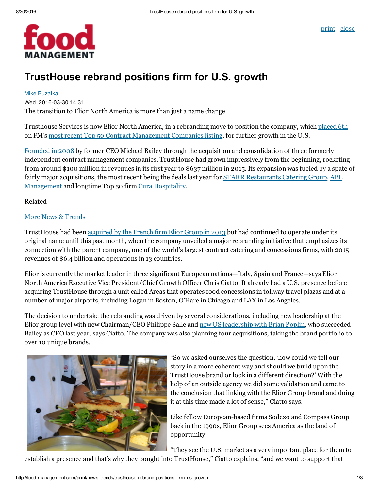

## TrustHouse rebrand positions firm for U.S. growth

## Mike [Buzalka](http://food-management.com/author/mike-buzalka)

Wed, 2016-03-30 14:31

The transition to Elior North America is more than just a name change.

Trusthouse Services is now Elior North America, in a rebranding move to position the company, which [placed](http://food-management.com/top-50-listings/fm-50-2016-no-6-elior-north-america) 6th on FM's most recent Top 50 Contract [Management](http://food-management.com/top-50-listings/fm-top-50-2016) Companies listing, for further growth in the U.S.

[Founded](http://food-management.com/business-amp-industry/contract-legend-returns-scene) in 2008 by former CEO Michael Bailey through the acquisition and consolidation of three formerly independent contract management companies, TrustHouse had grown impressively from the beginning, rocketing from around \$100 million in revenues in its first year to \$637 million in 2015. Its expansion was fueled by a spate of fairly major acquisitions, the most recent being the deals last year for STARR [Restaurants](http://food-management.com/news-trends/trusthouse-acquires-catering-firm) Catering Group, ABL [Management](http://http//food-management.com/news-trends/trusthouse-adds-corrections-specialist-abl-through-acquisition) and longtime Top 50 firm Cura [Hospitality](http://http//food-management.com/news-trends/trusthouse-acquires-cura).

Related

## More News & [Trends](http://food-management.com/news-trends)

TrustHouse had been [acquired](http://food-management.com/contractors/bailey-european-firm-elior-acquire-trusthouse) by the French firm Elior Group in 2013 but had continued to operate under its original name until this past month, when the company unveiled a major rebranding initiative that emphasizes its connection with the parent company, one of the world's largest contract catering and concessions firms, with 2015 revenues of \$6.4 billion and operations in 13 countries.

Elior is currently the market leader in three significant European nations—Italy, Spain and France—says Elior North America Executive Vice President/Chief Growth Officer Chris Ciatto. It already had a U.S. presence before acquiring TrustHouse through a unit called Areas that operates food concessions in tollway travel plazas and at a number of major airports, including Logan in Boston, O'Hare in Chicago and LAX in Los Angeles.

The decision to undertake the rebranding was driven by several considerations, including new leadership at the Elior group level with new Chairman/CEO Philippe Salle and new US [leadership](http://food-management.com/news-trends/trusthouse-names-new-presidentceo) with Brian Poplin, who succeeded Bailey as CEO last year, says Ciatto. The company was also planning four acquisitions, taking the brand portfolio to over 10 unique brands.



"So we asked ourselves the question, 'how could we tell our story in a more coherent way and should we build upon the TrustHouse brand or look in a different direction?' With the help of an outside agency we did some validation and came to the conclusion that linking with the Elior Group brand and doing it at this time made a lot of sense," Ciatto says.

Like fellow European-based firms Sodexo and Compass Group back in the 1990s, Elior Group sees America as the land of opportunity.

"They see the U.S. market as a very important place for them to

establish a presence and that's why they bought into TrustHouse," Ciatto explains, "and we want to support that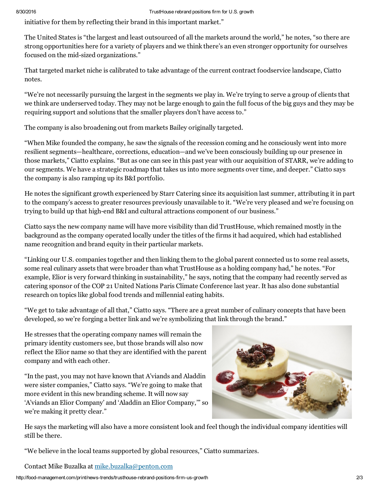initiative for them by reflecting their brand in this important market."

The United States is "the largest and least outsourced of all the markets around the world," he notes, "so there are strong opportunities here for a variety of players and we think there's an even stronger opportunity for ourselves focused on the mid-sized organizations."

That targeted market niche is calibrated to take advantage of the current contract foodservice landscape, Ciatto notes.

"We're not necessarily pursuing the largest in the segments we play in. We're trying to serve a group of clients that we think are underserved today. They may not be large enough to gain the full focus of the big guys and they may be requiring support and solutions that the smaller players don't have access to."

The company is also broadening out from markets Bailey originally targeted.

"When Mike founded the company, he saw the signals of the recession coming and he consciously went into more resilient segments—healthcare, corrections, education—and we've been consciously building up our presence in those markets," Ciatto explains. "But as one can see in this past year with our acquisition of STARR, we're adding to our segments. We have a strategic roadmap that takes us into more segments over time, and deeper." Ciatto says the company is also ramping up its B&I portfolio.

He notes the significant growth experienced by Starr Catering since its acquisition last summer, attributing it in part to the company's access to greater resources previously unavailable to it. "We're very pleased and we're focusing on trying to build up that high-end B&I and cultural attractions component of our business."

Ciatto says the new company name will have more visibility than did TrustHouse, which remained mostly in the background as the company operated locally under the titles of the firms it had acquired, which had established name recognition and brand equity in their particular markets.

"Linking our U.S. companies together and then linking them to the global parent connected us to some real assets, some real culinary assets that were broader than what TrustHouse as a holding company had," he notes. "For example, Elior is very forward thinking in sustainability," he says, noting that the company had recently served as catering sponsor of the COP 21 United Nations Paris Climate Conference last year. It has also done substantial research on topics like global food trends and millennial eating habits.

"We get to take advantage of all that," Ciatto says. "There are a great number of culinary concepts that have been developed, so we're forging a better link and we're symbolizing that link through the brand."

He stresses that the operating company names will remain the primary identity customers see, but those brands will also now reflect the Elior name so that they are identified with the parent company and with each other.

"In the past, you may not have known that A'viands and Aladdin were sister companies," Ciatto says. "We're going to make that more evident in this new branding scheme. It will now say 'A'viands an Elior Company' and 'Aladdin an Elior Company,'" so we're making it pretty clear."



He says the marketing will also have a more consistent look and feel though the individual company identities will still be there.

"We believe in the local teams supported by global resources," Ciatto summarizes.

Contact Mike Buzalka at [mike.buzalka@penton.com](mailto:mike.buzalka@penton.com)